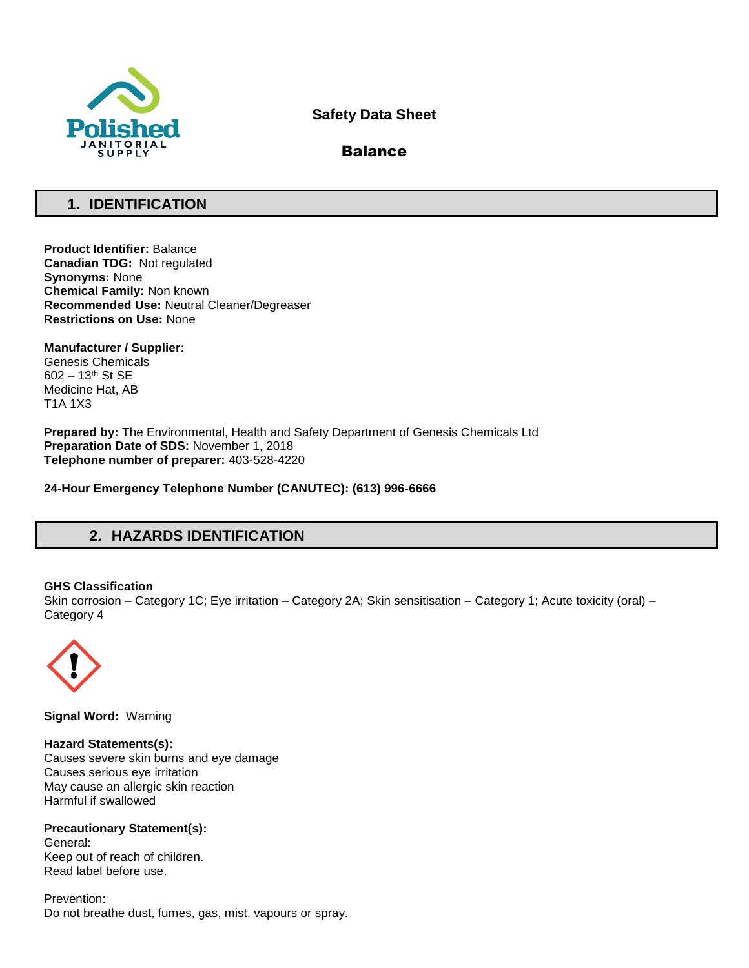

# **Safety Data Sheet**

# Balance

# **1. IDENTIFICATION**

**Product Identifier:** Balance **Canadian TDG:** Not regulated **Synonyms:** None **Chemical Family:** Non known **Recommended Use:** Neutral Cleaner/Degreaser **Restrictions on Use:** None

**Manufacturer / Supplier:** Genesis Chemicals 602 – 13th St SE Medicine Hat, AB T1A 1X3

**Prepared by:** The Environmental, Health and Safety Department of Genesis Chemicals Ltd **Preparation Date of SDS:** November 1, 2018 **Telephone number of preparer:** 403-528-4220

**24-Hour Emergency Telephone Number (CANUTEC): (613) 996-6666**

# **2. HAZARDS IDENTIFICATION**

## **GHS Classification**

Skin corrosion – Category 1C; Eye irritation – Category 2A; Skin sensitisation – Category 1; Acute toxicity (oral) – Category 4



**Signal Word:** Warning

**Hazard Statements(s):** Causes severe skin burns and eye damage Causes serious eye irritation May cause an allergic skin reaction Harmful if swallowed

**Precautionary Statement(s):** General: Keep out of reach of children. Read label before use.

Prevention: Do not breathe dust, fumes, gas, mist, vapours or spray.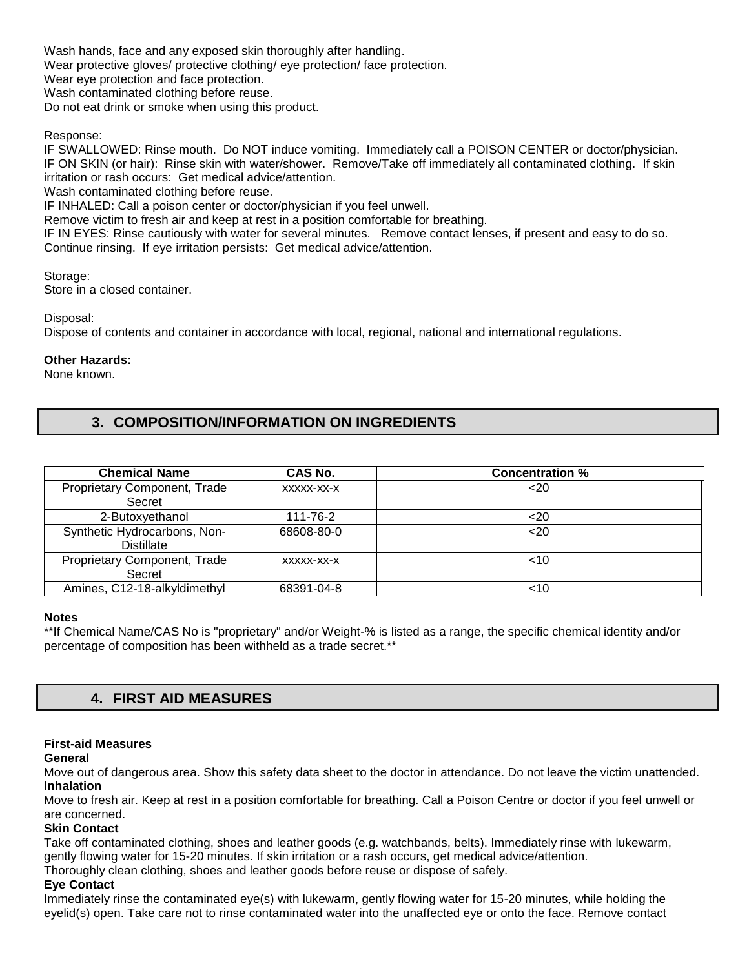Wash hands, face and any exposed skin thoroughly after handling. Wear protective gloves/ protective clothing/ eye protection/ face protection. Wear eye protection and face protection.

Wash contaminated clothing before reuse.

Do not eat drink or smoke when using this product.

## Response:

IF SWALLOWED: Rinse mouth. Do NOT induce vomiting. Immediately call a POISON CENTER or doctor/physician. IF ON SKIN (or hair): Rinse skin with water/shower. Remove/Take off immediately all contaminated clothing. If skin irritation or rash occurs: Get medical advice/attention.

Wash contaminated clothing before reuse.

IF INHALED: Call a poison center or doctor/physician if you feel unwell.

Remove victim to fresh air and keep at rest in a position comfortable for breathing.

IF IN EYES: Rinse cautiously with water for several minutes. Remove contact lenses, if present and easy to do so. Continue rinsing. If eye irritation persists: Get medical advice/attention.

Storage: Store in a closed container.

Disposal:

Dispose of contents and container in accordance with local, regional, national and international regulations.

## **Other Hazards:**

None known.

# **3. COMPOSITION/INFORMATION ON INGREDIENTS**

| <b>Chemical Name</b>                              | CAS No.    | <b>Concentration %</b> |
|---------------------------------------------------|------------|------------------------|
| Proprietary Component, Trade<br>Secret            | XXXXX-XX-X | $<$ 20                 |
| 2-Butoxyethanol                                   | 111-76-2   | $20$                   |
| Synthetic Hydrocarbons, Non-<br><b>Distillate</b> | 68608-80-0 | 20 <sub>20</sub>       |
| Proprietary Component, Trade<br>Secret            | XXXXX-XX-X | $~<$ 10                |
| Amines, C12-18-alkyldimethyl                      | 68391-04-8 | ~10                    |

## **Notes**

\*\*If Chemical Name/CAS No is "proprietary" and/or Weight-% is listed as a range, the specific chemical identity and/or percentage of composition has been withheld as a trade secret.\*\*

# **4. FIRST AID MEASURES**

## **First-aid Measures**

#### **General**

Move out of dangerous area. Show this safety data sheet to the doctor in attendance. Do not leave the victim unattended. **Inhalation** 

Move to fresh air. Keep at rest in a position comfortable for breathing. Call a Poison Centre or doctor if you feel unwell or are concerned.

## **Skin Contact**

Take off contaminated clothing, shoes and leather goods (e.g. watchbands, belts). Immediately rinse with lukewarm, gently flowing water for 15-20 minutes. If skin irritation or a rash occurs, get medical advice/attention.

Thoroughly clean clothing, shoes and leather goods before reuse or dispose of safely.

## **Eye Contact**

Immediately rinse the contaminated eye(s) with lukewarm, gently flowing water for 15-20 minutes, while holding the eyelid(s) open. Take care not to rinse contaminated water into the unaffected eye or onto the face. Remove contact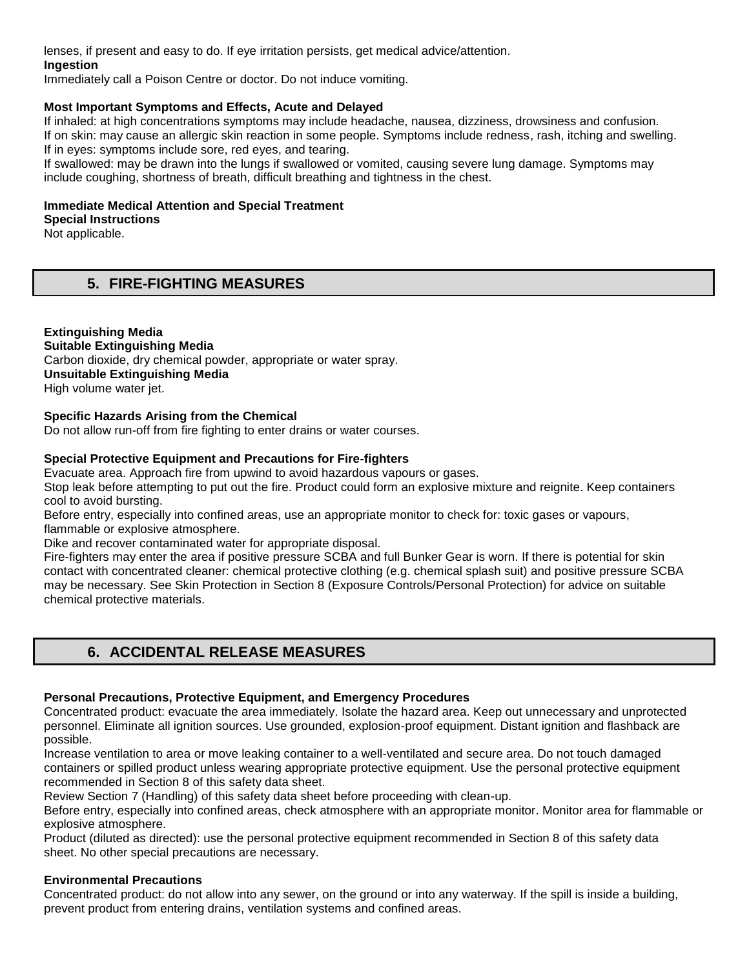lenses, if present and easy to do. If eye irritation persists, get medical advice/attention.

## **Ingestion**

Immediately call a Poison Centre or doctor. Do not induce vomiting.

## **Most Important Symptoms and Effects, Acute and Delayed**

If inhaled: at high concentrations symptoms may include headache, nausea, dizziness, drowsiness and confusion. If on skin: may cause an allergic skin reaction in some people. Symptoms include redness, rash, itching and swelling. If in eyes: symptoms include sore, red eyes, and tearing.

If swallowed: may be drawn into the lungs if swallowed or vomited, causing severe lung damage. Symptoms may include coughing, shortness of breath, difficult breathing and tightness in the chest.

## **Immediate Medical Attention and Special Treatment**

**Special Instructions**  Not applicable.

# **5. FIRE-FIGHTING MEASURES**

## **Extinguishing Media Suitable Extinguishing Media** Carbon dioxide, dry chemical powder, appropriate or water spray. **Unsuitable Extinguishing Media**  High volume water jet.

## **Specific Hazards Arising from the Chemical**

Do not allow run-off from fire fighting to enter drains or water courses.

## **Special Protective Equipment and Precautions for Fire-fighters**

Evacuate area. Approach fire from upwind to avoid hazardous vapours or gases.

Stop leak before attempting to put out the fire. Product could form an explosive mixture and reignite. Keep containers cool to avoid bursting.

Before entry, especially into confined areas, use an appropriate monitor to check for: toxic gases or vapours, flammable or explosive atmosphere.

Dike and recover contaminated water for appropriate disposal.

Fire-fighters may enter the area if positive pressure SCBA and full Bunker Gear is worn. If there is potential for skin contact with concentrated cleaner: chemical protective clothing (e.g. chemical splash suit) and positive pressure SCBA may be necessary. See Skin Protection in Section 8 (Exposure Controls/Personal Protection) for advice on suitable chemical protective materials.

# **6. ACCIDENTAL RELEASE MEASURES**

## **Personal Precautions, Protective Equipment, and Emergency Procedures**

Concentrated product: evacuate the area immediately. Isolate the hazard area. Keep out unnecessary and unprotected personnel. Eliminate all ignition sources. Use grounded, explosion-proof equipment. Distant ignition and flashback are possible.

Increase ventilation to area or move leaking container to a well-ventilated and secure area. Do not touch damaged containers or spilled product unless wearing appropriate protective equipment. Use the personal protective equipment recommended in Section 8 of this safety data sheet.

Review Section 7 (Handling) of this safety data sheet before proceeding with clean-up.

Before entry, especially into confined areas, check atmosphere with an appropriate monitor. Monitor area for flammable or explosive atmosphere.

Product (diluted as directed): use the personal protective equipment recommended in Section 8 of this safety data sheet. No other special precautions are necessary.

## **Environmental Precautions**

Concentrated product: do not allow into any sewer, on the ground or into any waterway. If the spill is inside a building, prevent product from entering drains, ventilation systems and confined areas.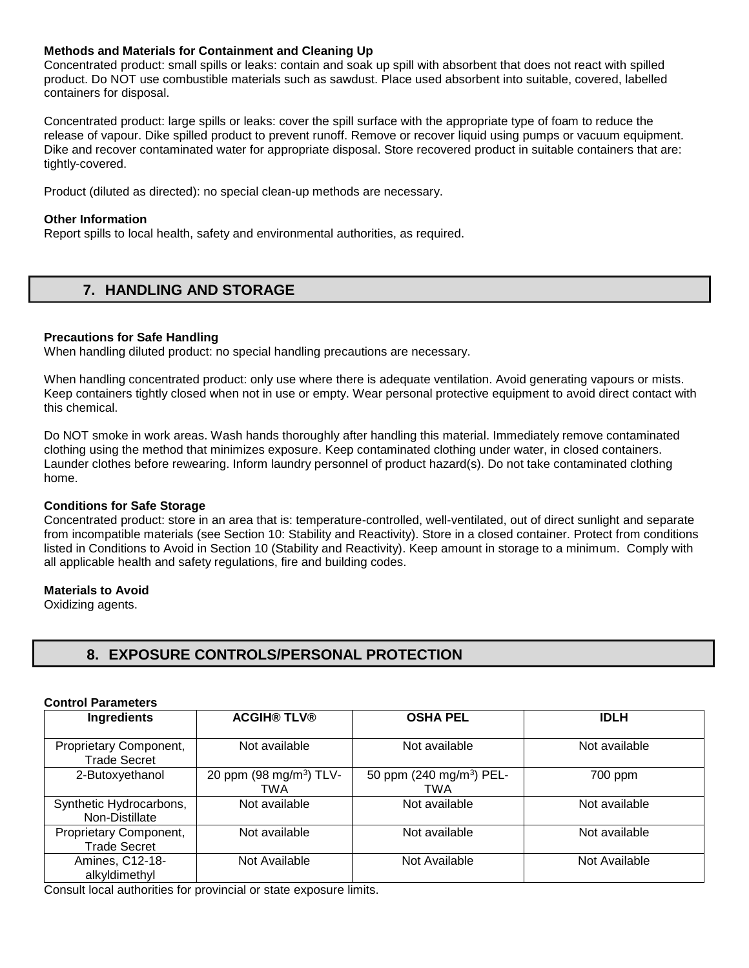## **Methods and Materials for Containment and Cleaning Up**

Concentrated product: small spills or leaks: contain and soak up spill with absorbent that does not react with spilled product. Do NOT use combustible materials such as sawdust. Place used absorbent into suitable, covered, labelled containers for disposal.

Concentrated product: large spills or leaks: cover the spill surface with the appropriate type of foam to reduce the release of vapour. Dike spilled product to prevent runoff. Remove or recover liquid using pumps or vacuum equipment. Dike and recover contaminated water for appropriate disposal. Store recovered product in suitable containers that are: tightly-covered.

Product (diluted as directed): no special clean-up methods are necessary.

## **Other Information**

Report spills to local health, safety and environmental authorities, as required.

# **7. HANDLING AND STORAGE**

#### **Precautions for Safe Handling**

When handling diluted product: no special handling precautions are necessary.

When handling concentrated product: only use where there is adequate ventilation. Avoid generating vapours or mists. Keep containers tightly closed when not in use or empty. Wear personal protective equipment to avoid direct contact with this chemical.

Do NOT smoke in work areas. Wash hands thoroughly after handling this material. Immediately remove contaminated clothing using the method that minimizes exposure. Keep contaminated clothing under water, in closed containers. Launder clothes before rewearing. Inform laundry personnel of product hazard(s). Do not take contaminated clothing home.

#### **Conditions for Safe Storage**

Concentrated product: store in an area that is: temperature-controlled, well-ventilated, out of direct sunlight and separate from incompatible materials (see Section 10: Stability and Reactivity). Store in a closed container. Protect from conditions listed in Conditions to Avoid in Section 10 (Stability and Reactivity). Keep amount in storage to a minimum. Comply with all applicable health and safety regulations, fire and building codes.

#### **Materials to Avoid**

Oxidizing agents.

## **8. EXPOSURE CONTROLS/PERSONAL PROTECTION**

#### **Control Parameters**

| <b>Ingredients</b>                            | <b>ACGIH® TLV®</b>                         | <b>OSHA PEL</b>                             | <b>IDLH</b>   |
|-----------------------------------------------|--------------------------------------------|---------------------------------------------|---------------|
| Proprietary Component,<br><b>Trade Secret</b> | Not available                              | Not available                               | Not available |
| 2-Butoxyethanol                               | 20 ppm (98 mg/m <sup>3</sup> ) TLV-<br>TWA | 50 ppm (240 mg/m <sup>3</sup> ) PEL-<br>TWA | 700 ppm       |
| Synthetic Hydrocarbons,<br>Non-Distillate     | Not available                              | Not available                               | Not available |
| Proprietary Component,<br><b>Trade Secret</b> | Not available                              | Not available                               | Not available |
| Amines, C12-18-<br>alkyldimethyl<br>.         | Not Available<br>.                         | Not Available                               | Not Available |

Consult local authorities for provincial or state exposure limits.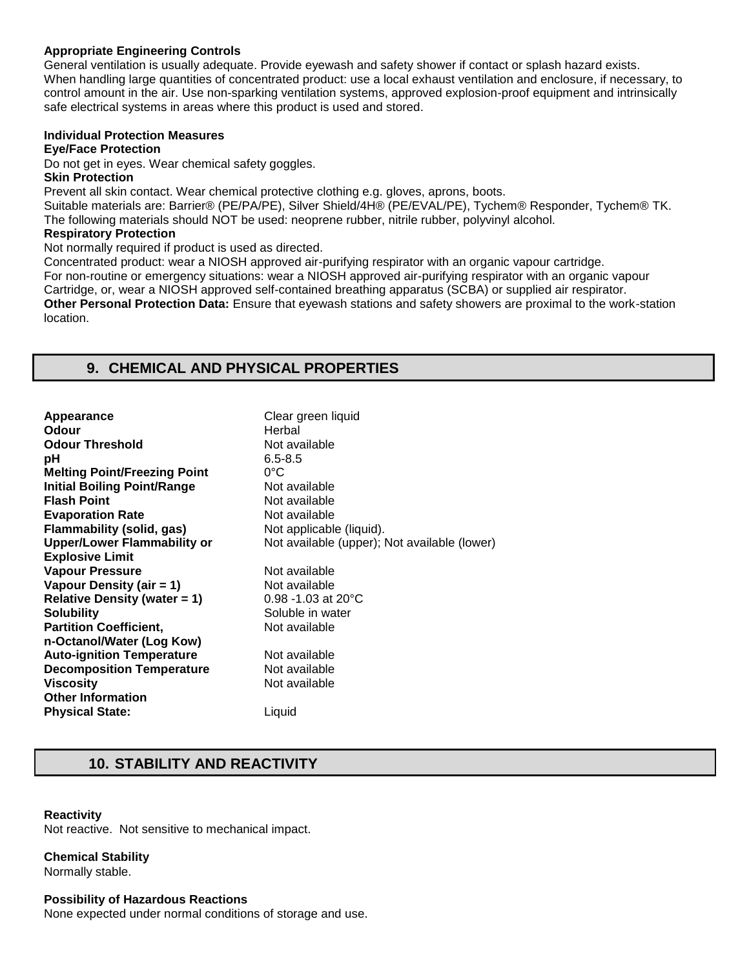## **Appropriate Engineering Controls**

General ventilation is usually adequate. Provide eyewash and safety shower if contact or splash hazard exists. When handling large quantities of concentrated product: use a local exhaust ventilation and enclosure, if necessary, to control amount in the air. Use non-sparking ventilation systems, approved explosion-proof equipment and intrinsically safe electrical systems in areas where this product is used and stored.

## **Individual Protection Measures**

## **Eye/Face Protection**

Do not get in eyes. Wear chemical safety goggles.

#### **Skin Protection**

Prevent all skin contact. Wear chemical protective clothing e.g. gloves, aprons, boots.

Suitable materials are: Barrier® (PE/PA/PE), Silver Shield/4H® (PE/EVAL/PE), Tychem® Responder, Tychem® TK. The following materials should NOT be used: neoprene rubber, nitrile rubber, polyvinyl alcohol.

#### **Respiratory Protection**

Not normally required if product is used as directed.

Concentrated product: wear a NIOSH approved air-purifying respirator with an organic vapour cartridge. For non-routine or emergency situations: wear a NIOSH approved air-purifying respirator with an organic vapour Cartridge, or, wear a NIOSH approved self-contained breathing apparatus (SCBA) or supplied air respirator. **Other Personal Protection Data:** Ensure that eyewash stations and safety showers are proximal to the work-station location.

# **9. CHEMICAL AND PHYSICAL PROPERTIES**

| Appearance                          | Clear green liquid                           |
|-------------------------------------|----------------------------------------------|
| Odour                               | Herbal                                       |
| <b>Odour Threshold</b>              | Not available                                |
| рH                                  | $6.5 - 8.5$                                  |
| <b>Melting Point/Freezing Point</b> | $0^{\circ}$ C                                |
| <b>Initial Boiling Point/Range</b>  | Not available                                |
| <b>Flash Point</b>                  | Not available                                |
| <b>Evaporation Rate</b>             | Not available                                |
| Flammability (solid, gas)           | Not applicable (liquid).                     |
| <b>Upper/Lower Flammability or</b>  | Not available (upper); Not available (lower) |
| <b>Explosive Limit</b>              |                                              |
| <b>Vapour Pressure</b>              | Not available                                |
| Vapour Density (air = 1)            | Not available                                |
| Relative Density (water $= 1$ )     | $0.98 - 1.03$ at 20 $^{\circ}$ C             |
| <b>Solubility</b>                   | Soluble in water                             |
| <b>Partition Coefficient,</b>       | Not available                                |
| n-Octanol/Water (Log Kow)           |                                              |
| <b>Auto-ignition Temperature</b>    | Not available                                |
| <b>Decomposition Temperature</b>    | Not available                                |
| <b>Viscosity</b>                    | Not available                                |
| <b>Other Information</b>            |                                              |
| <b>Physical State:</b>              | Liquid                                       |
|                                     |                                              |

# **10. STABILITY AND REACTIVITY**

## **Reactivity**

Not reactive. Not sensitive to mechanical impact.

## **Chemical Stability**

Normally stable.

#### **Possibility of Hazardous Reactions**

None expected under normal conditions of storage and use.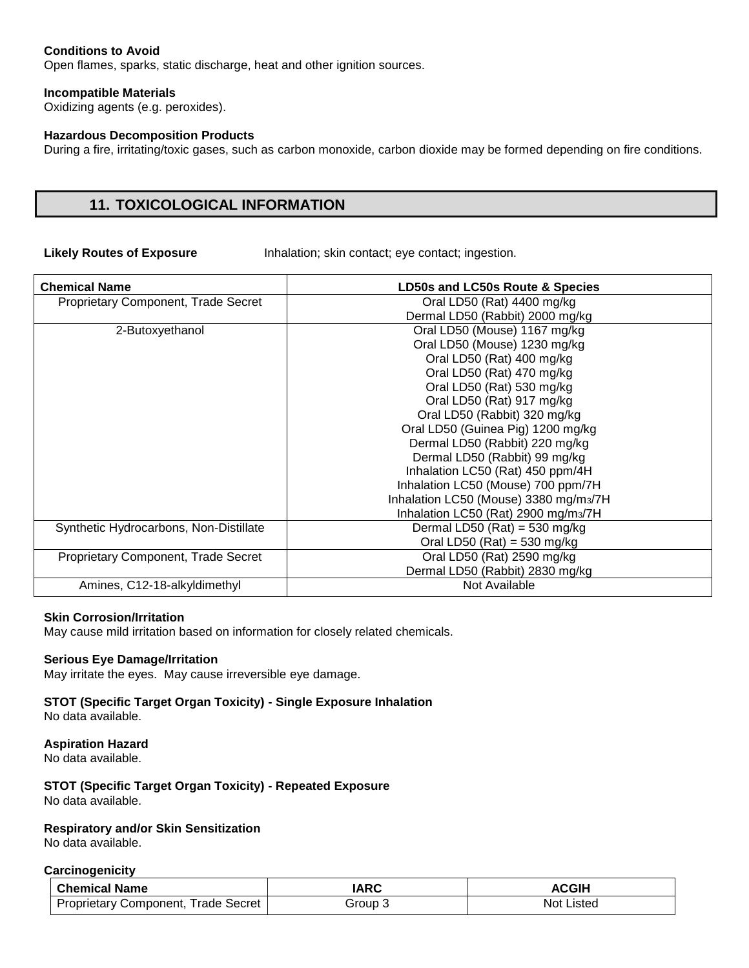## **Conditions to Avoid**

Open flames, sparks, static discharge, heat and other ignition sources.

#### **Incompatible Materials**

Oxidizing agents (e.g. peroxides).

#### **Hazardous Decomposition Products**

During a fire, irritating/toxic gases, such as carbon monoxide, carbon dioxide may be formed depending on fire conditions.

## **11. TOXICOLOGICAL INFORMATION**

**Likely Routes of Exposure** Inhalation; skin contact; eye contact; ingestion.

| <b>Chemical Name</b>                   | LD50s and LC50s Route & Species       |
|----------------------------------------|---------------------------------------|
| Proprietary Component, Trade Secret    | Oral LD50 (Rat) 4400 mg/kg            |
|                                        | Dermal LD50 (Rabbit) 2000 mg/kg       |
| 2-Butoxyethanol                        | Oral LD50 (Mouse) 1167 mg/kg          |
|                                        | Oral LD50 (Mouse) 1230 mg/kg          |
|                                        | Oral LD50 (Rat) 400 mg/kg             |
|                                        | Oral LD50 (Rat) 470 mg/kg             |
|                                        | Oral LD50 (Rat) 530 mg/kg             |
|                                        | Oral LD50 (Rat) 917 mg/kg             |
|                                        | Oral LD50 (Rabbit) 320 mg/kg          |
|                                        | Oral LD50 (Guinea Pig) 1200 mg/kg     |
|                                        | Dermal LD50 (Rabbit) 220 mg/kg        |
|                                        | Dermal LD50 (Rabbit) 99 mg/kg         |
|                                        | Inhalation LC50 (Rat) 450 ppm/4H      |
|                                        | Inhalation LC50 (Mouse) 700 ppm/7H    |
|                                        | Inhalation LC50 (Mouse) 3380 mg/m3/7H |
|                                        | Inhalation LC50 (Rat) 2900 mg/m3/7H   |
| Synthetic Hydrocarbons, Non-Distillate | Dermal LD50 (Rat) = $530$ mg/kg       |
|                                        | Oral LD50 (Rat) = 530 mg/kg           |
| Proprietary Component, Trade Secret    | Oral LD50 (Rat) 2590 mg/kg            |
|                                        | Dermal LD50 (Rabbit) 2830 mg/kg       |
| Amines, C12-18-alkyldimethyl           | Not Available                         |

#### **Skin Corrosion/Irritation**

May cause mild irritation based on information for closely related chemicals.

## **Serious Eye Damage/Irritation**

May irritate the eyes. May cause irreversible eye damage.

#### **STOT (Specific Target Organ Toxicity) - Single Exposure Inhalation**  No data available.

## **Aspiration Hazard**

No data available.

## **STOT (Specific Target Organ Toxicity) - Repeated Exposure**  No data available.

## **Respiratory and/or Skin Sensitization**

No data available.

#### **Carcinogenicity**

| <b>Chemical Name</b>                       | IARC    | <b>ACGIH</b> |
|--------------------------------------------|---------|--------------|
| <b>Proprietary Component, Trade Secret</b> | Group 5 | Not Listed   |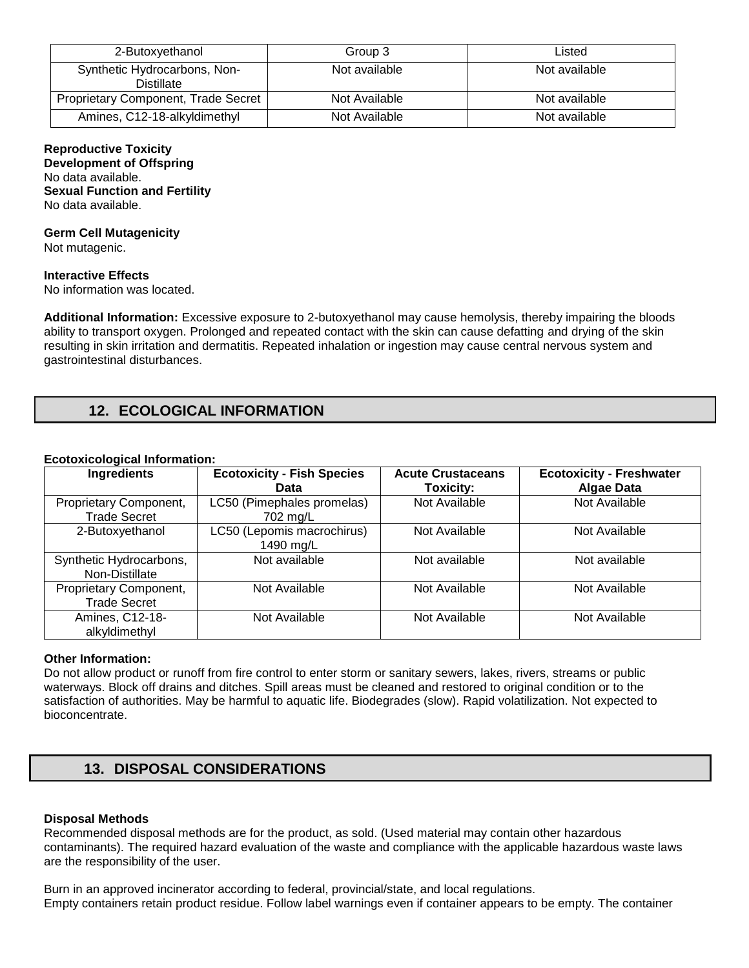| 2-Butoxyethanol                            | Group 3       | Listed        |
|--------------------------------------------|---------------|---------------|
| Synthetic Hydrocarbons, Non-<br>Distillate | Not available | Not available |
| <b>Proprietary Component, Trade Secret</b> | Not Available | Not available |
| Amines, C12-18-alkyldimethyl               | Not Available | Not available |

# **Reproductive Toxicity**

**Development of Offspring**  No data available. **Sexual Function and Fertility**  No data available.

## **Germ Cell Mutagenicity**

Not mutagenic.

## **Interactive Effects**

No information was located.

**Additional Information:** Excessive exposure to 2-butoxyethanol may cause hemolysis, thereby impairing the bloods ability to transport oxygen. Prolonged and repeated contact with the skin can cause defatting and drying of the skin resulting in skin irritation and dermatitis. Repeated inhalation or ingestion may cause central nervous system and gastrointestinal disturbances.

# **12. ECOLOGICAL INFORMATION**

## **Ecotoxicological Information:**

| Ingredients                                   | <b>Ecotoxicity - Fish Species</b><br>Data | <b>Acute Crustaceans</b><br>Toxicity: | <b>Ecotoxicity - Freshwater</b><br><b>Algae Data</b> |
|-----------------------------------------------|-------------------------------------------|---------------------------------------|------------------------------------------------------|
| Proprietary Component,<br><b>Trade Secret</b> | LC50 (Pimephales promelas)<br>702 mg/L    | Not Available                         | Not Available                                        |
| 2-Butoxyethanol                               | LC50 (Lepomis macrochirus)<br>1490 mg/L   | Not Available                         | Not Available                                        |
| Synthetic Hydrocarbons,<br>Non-Distillate     | Not available                             | Not available                         | Not available                                        |
| Proprietary Component,<br><b>Trade Secret</b> | Not Available                             | Not Available                         | Not Available                                        |
| Amines, C12-18-<br>alkyldimethyl              | Not Available                             | Not Available                         | Not Available                                        |

## **Other Information:**

Do not allow product or runoff from fire control to enter storm or sanitary sewers, lakes, rivers, streams or public waterways. Block off drains and ditches. Spill areas must be cleaned and restored to original condition or to the satisfaction of authorities. May be harmful to aquatic life. Biodegrades (slow). Rapid volatilization. Not expected to bioconcentrate.

# **13. DISPOSAL CONSIDERATIONS**

## **Disposal Methods**

Recommended disposal methods are for the product, as sold. (Used material may contain other hazardous contaminants). The required hazard evaluation of the waste and compliance with the applicable hazardous waste laws are the responsibility of the user.

Burn in an approved incinerator according to federal, provincial/state, and local regulations. Empty containers retain product residue. Follow label warnings even if container appears to be empty. The container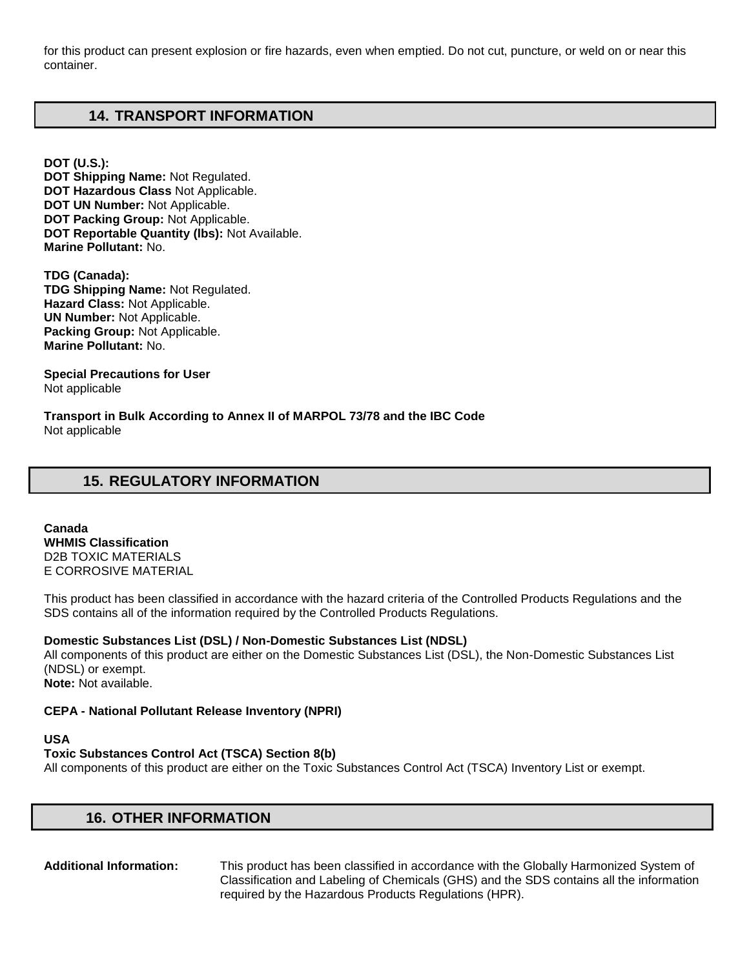for this product can present explosion or fire hazards, even when emptied. Do not cut, puncture, or weld on or near this container.

# **14. TRANSPORT INFORMATION**

**DOT (U.S.): DOT Shipping Name:** Not Regulated. **DOT Hazardous Class** Not Applicable. **DOT UN Number:** Not Applicable. **DOT Packing Group:** Not Applicable. **DOT Reportable Quantity (lbs):** Not Available. **Marine Pollutant:** No.

**TDG (Canada): TDG Shipping Name:** Not Regulated. **Hazard Class:** Not Applicable. **UN Number:** Not Applicable. **Packing Group:** Not Applicable. **Marine Pollutant:** No.

**Special Precautions for User** Not applicable

**Transport in Bulk According to Annex II of MARPOL 73/78 and the IBC Code**  Not applicable

# **15. REGULATORY INFORMATION**

**Canada WHMIS Classification**  D2B TOXIC MATERIALS E CORROSIVE MATERIAL

This product has been classified in accordance with the hazard criteria of the Controlled Products Regulations and the SDS contains all of the information required by the Controlled Products Regulations.

## **Domestic Substances List (DSL) / Non-Domestic Substances List (NDSL)**

All components of this product are either on the Domestic Substances List (DSL), the Non-Domestic Substances List (NDSL) or exempt. **Note:** Not available.

## **CEPA - National Pollutant Release Inventory (NPRI)**

#### **USA**

## **Toxic Substances Control Act (TSCA) Section 8(b)**

All components of this product are either on the Toxic Substances Control Act (TSCA) Inventory List or exempt.

## **16. OTHER INFORMATION**

**Additional Information:** This product has been classified in accordance with the Globally Harmonized System of Classification and Labeling of Chemicals (GHS) and the SDS contains all the information required by the Hazardous Products Regulations (HPR).